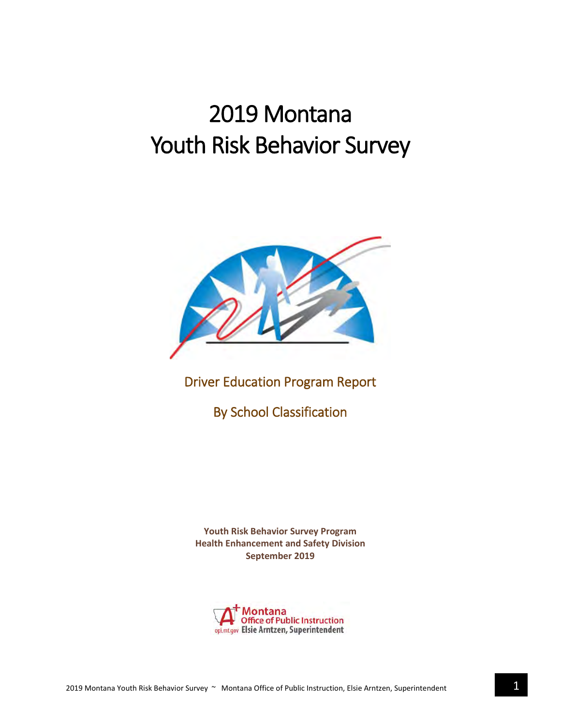# 2019 Montana Youth Risk Behavior Survey



## Driver Education Program Report

By School Classification

**Youth Risk Behavior Survey Program Health Enhancement and Safety Division September 2019**

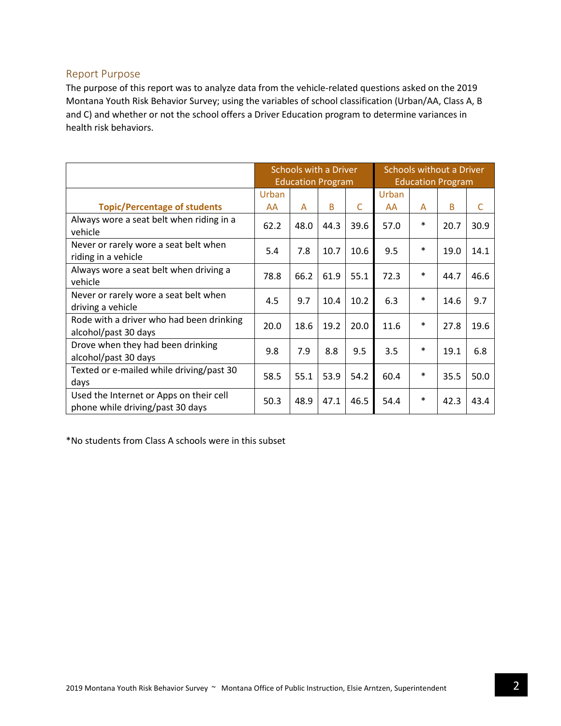#### Report Purpose

The purpose of this report was to analyze data from the vehicle-related questions asked on the 2019 Montana Youth Risk Behavior Survey; using the variables of school classification (Urban/AA, Class A, B and C) and whether or not the school offers a Driver Education program to determine variances in health risk behaviors.

|                                                                             | Schools with a Driver<br><b>Education Program</b> |      |      |      | Schools without a Driver<br><b>Education Program</b> |        |      |             |
|-----------------------------------------------------------------------------|---------------------------------------------------|------|------|------|------------------------------------------------------|--------|------|-------------|
|                                                                             | Urban                                             |      |      |      | Urban                                                |        |      |             |
| <b>Topic/Percentage of students</b>                                         | AA                                                | A    | B    | C    | AA                                                   | A      | B    | $\mathsf C$ |
| Always wore a seat belt when riding in a<br>vehicle                         | 62.2                                              | 48.0 | 44.3 | 39.6 | 57.0                                                 | $\ast$ | 20.7 | 30.9        |
| Never or rarely wore a seat belt when<br>riding in a vehicle                | 5.4                                               | 7.8  | 10.7 | 10.6 | 9.5                                                  | $\ast$ | 19.0 | 14.1        |
| Always wore a seat belt when driving a<br>vehicle                           | 78.8                                              | 66.2 | 61.9 | 55.1 | 72.3                                                 | $\ast$ | 44.7 | 46.6        |
| Never or rarely wore a seat belt when<br>driving a vehicle                  | 4.5                                               | 9.7  | 10.4 | 10.2 | 6.3                                                  | $\ast$ | 14.6 | 9.7         |
| Rode with a driver who had been drinking<br>alcohol/past 30 days            | 20.0                                              | 18.6 | 19.2 | 20.0 | 11.6                                                 | $\ast$ | 27.8 | 19.6        |
| Drove when they had been drinking<br>alcohol/past 30 days                   | 9.8                                               | 7.9  | 8.8  | 9.5  | 3.5                                                  | $\ast$ | 19.1 | 6.8         |
| Texted or e-mailed while driving/past 30<br>days                            | 58.5                                              | 55.1 | 53.9 | 54.2 | 60.4                                                 | $\ast$ | 35.5 | 50.0        |
| Used the Internet or Apps on their cell<br>phone while driving/past 30 days | 50.3                                              | 48.9 | 47.1 | 46.5 | 54.4                                                 | $\ast$ | 42.3 | 43.4        |

\*No students from Class A schools were in this subset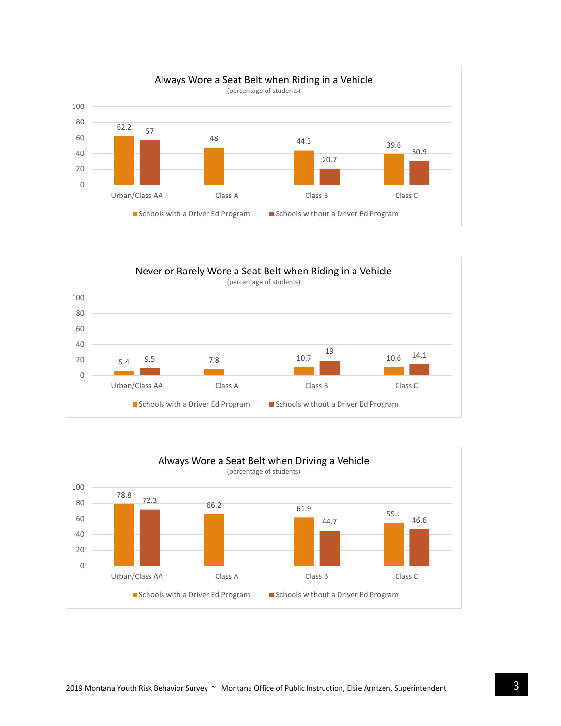



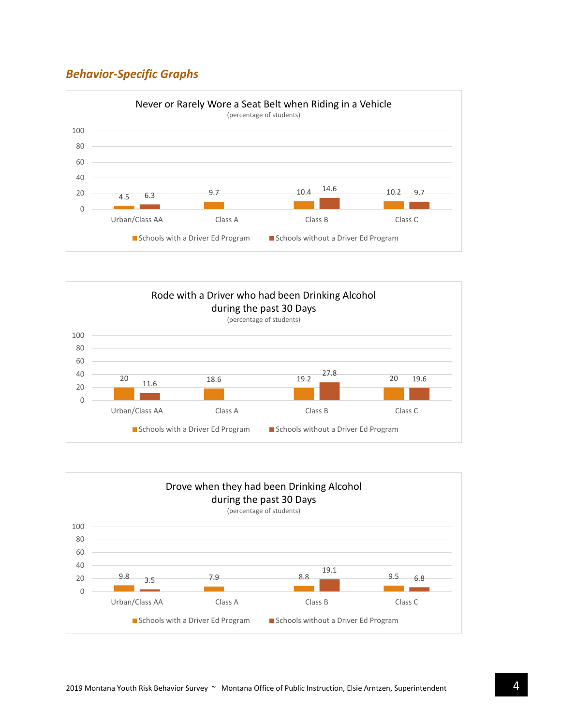## *Behavior-Specific Graphs*





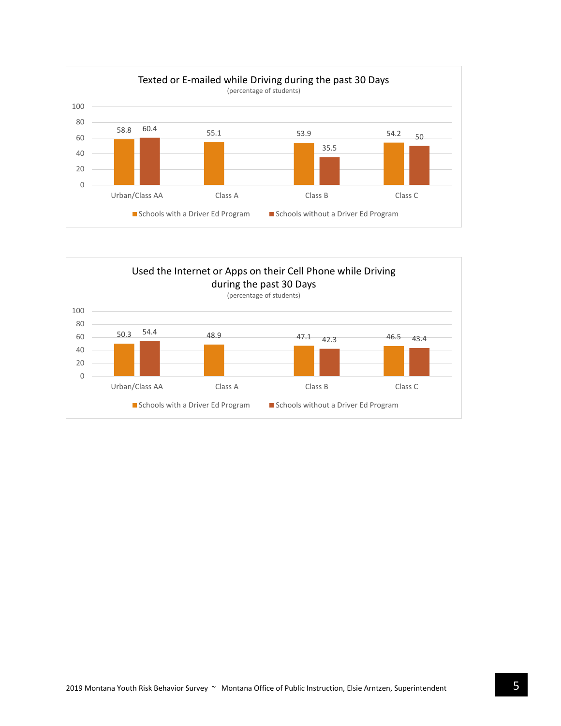

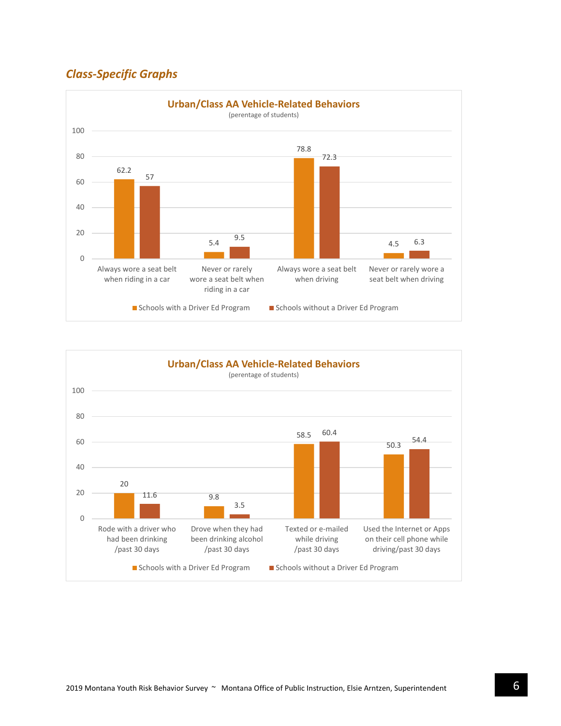## *Class-Specific Graphs*



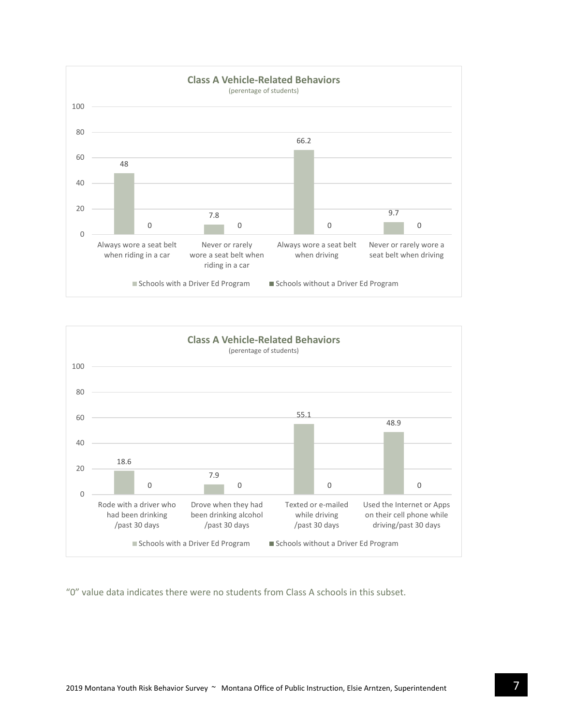



"0" value data indicates there were no students from Class A schools in this subset.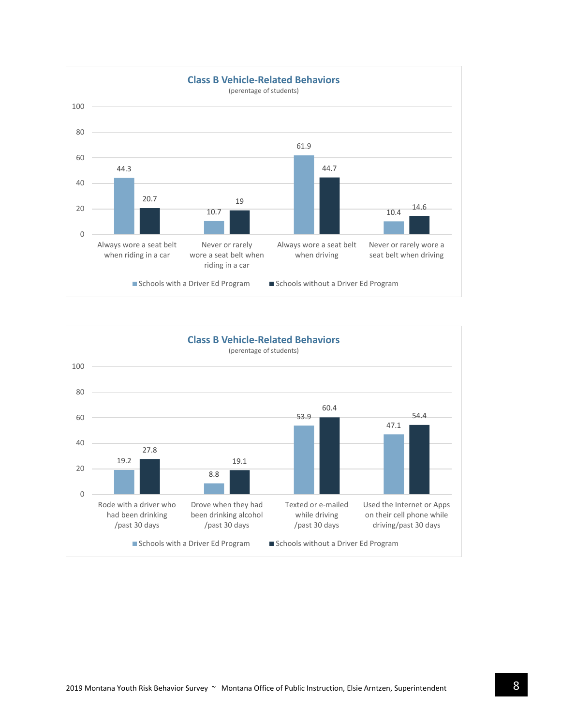

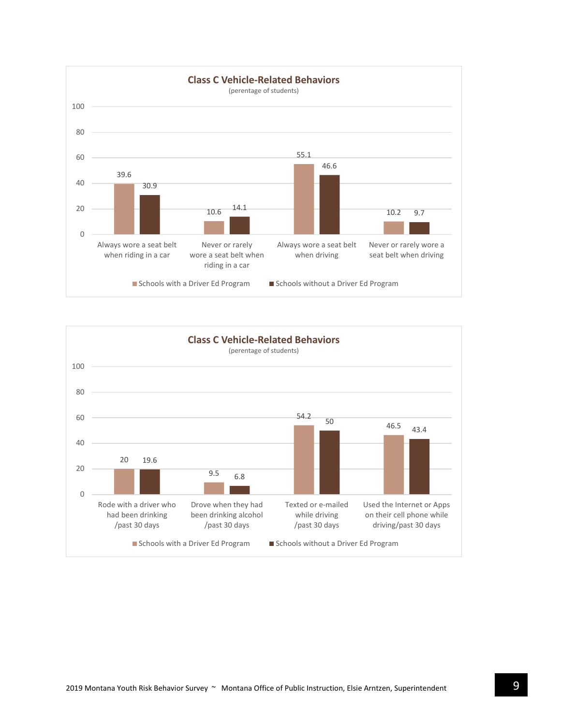